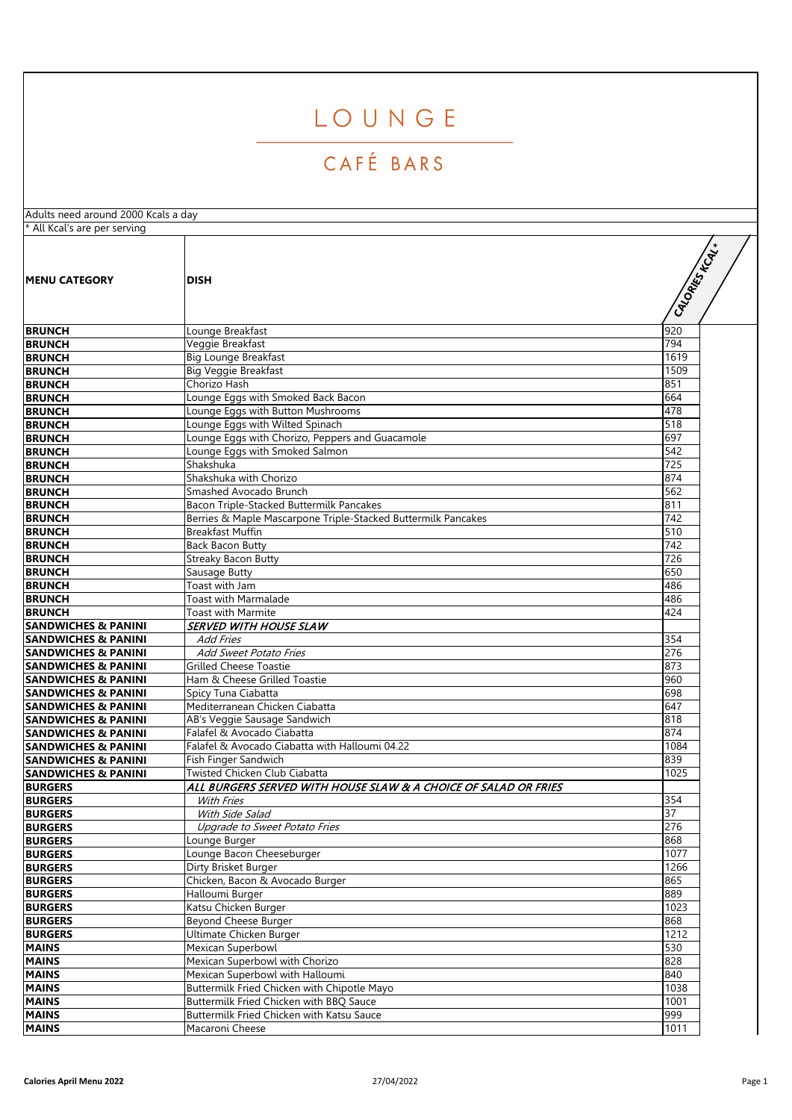## LOUNGE

## CAFÉ BARS

| Adults need around 2000 Kcals a day |                                                                 |              |
|-------------------------------------|-----------------------------------------------------------------|--------------|
| * All Kcal's are per serving        |                                                                 |              |
| <b>IMENU CATEGORY</b>               | <b>DISH</b>                                                     | GIORRESTATIV |
| <b>BRUNCH</b>                       | Lounge Breakfast                                                | 920          |
| <b>BRUNCH</b>                       | Veggie Breakfast                                                | 794          |
| <b>BRUNCH</b>                       | <b>Big Lounge Breakfast</b>                                     | 1619         |
| <b>BRUNCH</b>                       | <b>Big Veggie Breakfast</b>                                     | 1509         |
| <b>BRUNCH</b>                       | Chorizo Hash                                                    | 851          |
| <b>BRUNCH</b>                       | Lounge Eggs with Smoked Back Bacon                              | 664          |
| <b>BRUNCH</b>                       | Lounge Eggs with Button Mushrooms                               | 478          |
| <b>BRUNCH</b>                       | Lounge Eggs with Wilted Spinach                                 | 518          |
| <b>BRUNCH</b>                       | Lounge Eggs with Chorizo, Peppers and Guacamole                 | 697          |
| <b>BRUNCH</b>                       | Lounge Eggs with Smoked Salmon                                  | 542          |
| <b>BRUNCH</b>                       | Shakshuka                                                       | 725          |
| <b>BRUNCH</b>                       | Shakshuka with Chorizo                                          | 874          |
| <b>BRUNCH</b>                       | Smashed Avocado Brunch                                          | 562          |
| <b>BRUNCH</b>                       | Bacon Triple-Stacked Buttermilk Pancakes                        | 811          |
| <b>BRUNCH</b>                       | Berries & Maple Mascarpone Triple-Stacked Buttermilk Pancakes   | 742          |
| <b>BRUNCH</b>                       | <b>Breakfast Muffin</b>                                         | 510          |
| <b>BRUNCH</b>                       | <b>Back Bacon Butty</b>                                         | 742          |
| <b>BRUNCH</b>                       | <b>Streaky Bacon Butty</b>                                      | 726          |
| <b>BRUNCH</b>                       | Sausage Butty                                                   | 650          |
| <b>BRUNCH</b>                       | Toast with Jam                                                  | 486          |
| <b>BRUNCH</b>                       | Toast with Marmalade                                            | 486          |
| <b>BRUNCH</b>                       | Toast with Marmite                                              | 424          |
| <b>SANDWICHES &amp; PANINI</b>      | <b>SERVED WITH HOUSE SLAW</b>                                   |              |
| <b>SANDWICHES &amp; PANINI</b>      | <b>Add Fries</b>                                                | 354          |
| <b>SANDWICHES &amp; PANINI</b>      | Add Sweet Potato Fries                                          | 276          |
| <b>SANDWICHES &amp; PANINI</b>      | <b>Grilled Cheese Toastie</b>                                   | 873          |
| <b>SANDWICHES &amp; PANINI</b>      | Ham & Cheese Grilled Toastie                                    | 960          |
| <b>SANDWICHES &amp; PANINI</b>      | Spicy Tuna Ciabatta                                             | 698          |
| <b>SANDWICHES &amp; PANINI</b>      | Mediterranean Chicken Ciabatta                                  | 647          |
| <b>SANDWICHES &amp; PANINI</b>      | AB's Veggie Sausage Sandwich                                    | 818          |
| <b>SANDWICHES &amp; PANINI</b>      | Falafel & Avocado Ciabatta                                      | 874          |
| <b>SANDWICHES &amp; PANINI</b>      | Falafel & Avocado Ciabatta with Halloumi 04.22                  | 1084         |
| <b>SANDWICHES &amp; PANINI</b>      | Fish Finger Sandwich                                            | 839          |
| <b>SANDWICHES &amp; PANINI</b>      | Twisted Chicken Club Ciabatta                                   | 1025         |
| <b>BURGERS</b><br><b>BURGERS</b>    | ALL BURGERS SERVED WITH HOUSE SLAW & A CHOICE OF SALAD OR FRIES |              |
| <b>BURGERS</b>                      | With Fries                                                      | 354<br>37    |
| <b>BURGERS</b>                      | With Side Salad<br>Upgrade to Sweet Potato Fries                | 276          |
| <b>BURGERS</b>                      | Lounge Burger                                                   | 868          |
| <b>BURGERS</b>                      | Lounge Bacon Cheeseburger                                       | 1077         |
| <b>BURGERS</b>                      | Dirty Brisket Burger                                            | 1266         |
| <b>BURGERS</b>                      | Chicken, Bacon & Avocado Burger                                 | 865          |
| <b>BURGERS</b>                      | Halloumi Burger                                                 | 889          |
| <b>BURGERS</b>                      | Katsu Chicken Burger                                            | 1023         |
| <b>BURGERS</b>                      | Beyond Cheese Burger                                            | 868          |
| <b>BURGERS</b>                      | Ultimate Chicken Burger                                         | 1212         |
| <b>MAINS</b>                        | Mexican Superbowl                                               | 530          |
| <b>MAINS</b>                        | Mexican Superbowl with Chorizo                                  | 828          |
| <b>MAINS</b>                        | Mexican Superbowl with Halloumi                                 | 840          |
| <b>MAINS</b>                        | Buttermilk Fried Chicken with Chipotle Mayo                     | 1038         |
| <b>MAINS</b>                        | Buttermilk Fried Chicken with BBQ Sauce                         | 1001         |
| <b>MAINS</b>                        | Buttermilk Fried Chicken with Katsu Sauce                       | 999          |
| <b>MAINS</b>                        | Macaroni Cheese                                                 | 1011         |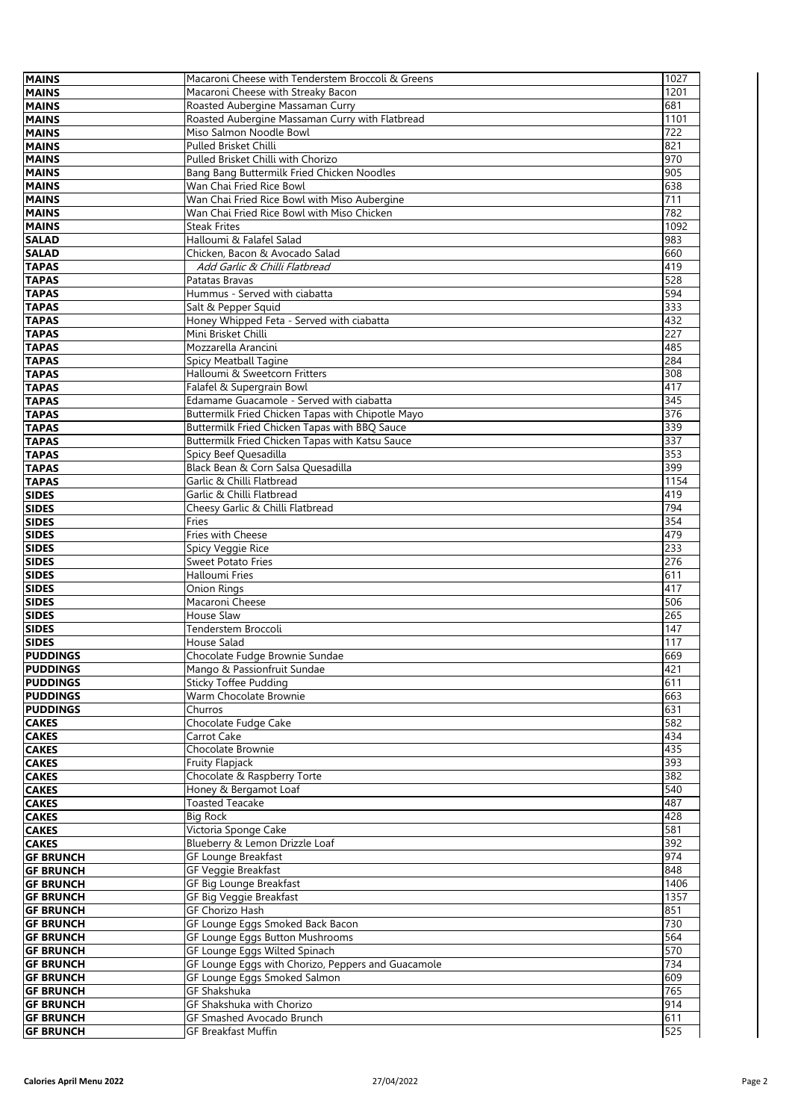| <b>MAINS</b>                         | Macaroni Cheese with Tenderstem Broccoli & Greens  | 1027 |
|--------------------------------------|----------------------------------------------------|------|
| <b>MAINS</b>                         | Macaroni Cheese with Streaky Bacon                 | 1201 |
| <b>MAINS</b>                         | Roasted Aubergine Massaman Curry                   | 681  |
| <b>MAINS</b>                         | Roasted Aubergine Massaman Curry with Flatbread    | 1101 |
| <b>MAINS</b>                         | Miso Salmon Noodle Bowl                            | 722  |
| <b>MAINS</b>                         | Pulled Brisket Chilli                              | 821  |
| <b>MAINS</b>                         | Pulled Brisket Chilli with Chorizo                 | 970  |
| <b>MAINS</b>                         | Bang Bang Buttermilk Fried Chicken Noodles         | 905  |
| <b>MAINS</b>                         | Wan Chai Fried Rice Bowl                           | 638  |
| <b>MAINS</b>                         | Wan Chai Fried Rice Bowl with Miso Aubergine       | 711  |
| <b>MAINS</b>                         | Wan Chai Fried Rice Bowl with Miso Chicken         | 782  |
| <b>MAINS</b>                         | <b>Steak Frites</b>                                |      |
|                                      |                                                    | 1092 |
| <b>SALAD</b>                         | Halloumi & Falafel Salad                           | 983  |
| <b>SALAD</b>                         | Chicken, Bacon & Avocado Salad                     | 660  |
| <b>TAPAS</b>                         | Add Garlic & Chilli Flatbread                      | 419  |
| <b>TAPAS</b>                         | Patatas Bravas                                     | 528  |
| <b>TAPAS</b>                         | Hummus - Served with ciabatta                      | 594  |
| <b>TAPAS</b>                         | Salt & Pepper Squid                                | 333  |
| <b>TAPAS</b>                         | Honey Whipped Feta - Served with ciabatta          | 432  |
| <b>TAPAS</b>                         | Mini Brisket Chilli                                | 227  |
| <b>TAPAS</b>                         | Mozzarella Arancini                                | 485  |
| <b>TAPAS</b>                         | Spicy Meatball Tagine                              | 284  |
| <b>TAPAS</b>                         | Halloumi & Sweetcorn Fritters                      | 308  |
| <b>TAPAS</b>                         | Falafel & Supergrain Bowl                          | 417  |
| <b>TAPAS</b>                         | Edamame Guacamole - Served with ciabatta           | 345  |
| <b>TAPAS</b>                         | Buttermilk Fried Chicken Tapas with Chipotle Mayo  | 376  |
| <b>TAPAS</b>                         | Buttermilk Fried Chicken Tapas with BBQ Sauce      | 339  |
| <b>TAPAS</b>                         | Buttermilk Fried Chicken Tapas with Katsu Sauce    | 337  |
| <b>TAPAS</b>                         | Spicy Beef Quesadilla                              | 353  |
| <b>TAPAS</b>                         | Black Bean & Corn Salsa Quesadilla                 | 399  |
| <b>TAPAS</b>                         | Garlic & Chilli Flatbread                          | 1154 |
| <b>SIDES</b>                         | Garlic & Chilli Flatbread                          | 419  |
| <b>SIDES</b>                         | Cheesy Garlic & Chilli Flatbread                   | 794  |
| <b>SIDES</b>                         | Fries                                              | 354  |
| <b>SIDES</b>                         | Fries with Cheese                                  | 479  |
| <b>SIDES</b>                         | Spicy Veggie Rice                                  | 233  |
| <b>SIDES</b>                         | <b>Sweet Potato Fries</b>                          |      |
|                                      |                                                    | 276  |
| <b>SIDES</b>                         | Halloumi Fries                                     | 611  |
| <b>SIDES</b>                         | Onion Rings                                        | 417  |
| <b>SIDES</b>                         | Macaroni Cheese                                    | 506  |
| <b>SIDES</b>                         | <b>House Slaw</b>                                  | 265  |
| <b>SIDES</b>                         | Tenderstem Broccoli                                | 147  |
| <b>SIDES</b>                         | House Salad                                        | 117  |
| <b>PUDDINGS</b>                      | Chocolate Fudge Brownie Sundae                     | 669  |
| <b>PUDDINGS</b>                      | Mango & Passionfruit Sundae                        | 421  |
| <b>PUDDINGS</b>                      | <b>Sticky Toffee Pudding</b>                       | 611  |
| <b>PUDDINGS</b>                      | Warm Chocolate Brownie                             | 663  |
| <b>PUDDINGS</b>                      | Churros                                            | 631  |
| <b>CAKES</b>                         | Chocolate Fudge Cake                               | 582  |
| <b>CAKES</b>                         | Carrot Cake                                        | 434  |
| <b>CAKES</b>                         | Chocolate Brownie                                  | 435  |
| <b>CAKES</b>                         | Fruity Flapjack                                    | 393  |
| <b>CAKES</b>                         | Chocolate & Raspberry Torte                        | 382  |
| <b>CAKES</b>                         | Honey & Bergamot Loaf                              | 540  |
| <b>CAKES</b>                         | <b>Toasted Teacake</b>                             | 487  |
| <b>CAKES</b>                         | <b>Big Rock</b>                                    | 428  |
| <b>CAKES</b>                         | Victoria Sponge Cake                               | 581  |
| <b>CAKES</b>                         | Blueberry & Lemon Drizzle Loaf                     | 392  |
| <b>GF BRUNCH</b>                     | <b>GF Lounge Breakfast</b>                         | 974  |
| <b>GF BRUNCH</b>                     | <b>GF Veggie Breakfast</b>                         | 848  |
| <b>GF BRUNCH</b>                     | GF Big Lounge Breakfast                            | 1406 |
| <b>GF BRUNCH</b>                     | GF Big Veggie Breakfast                            | 1357 |
| <b>GF BRUNCH</b>                     | <b>GF Chorizo Hash</b>                             | 851  |
| <b>GF BRUNCH</b>                     | GF Lounge Eggs Smoked Back Bacon                   | 730  |
| <b>GF BRUNCH</b>                     | GF Lounge Eggs Button Mushrooms                    | 564  |
| <b>GF BRUNCH</b>                     | GF Lounge Eggs Wilted Spinach                      | 570  |
|                                      | GF Lounge Eggs with Chorizo, Peppers and Guacamole | 734  |
| <b>GF BRUNCH</b>                     |                                                    | 609  |
| <b>GF BRUNCH</b>                     | GF Lounge Eggs Smoked Salmon                       |      |
| <b>GF BRUNCH</b>                     | <b>GF Shakshuka</b>                                | 765  |
| <b>GF BRUNCH</b>                     | GF Shakshuka with Chorizo                          | 914  |
| <b>GF BRUNCH</b><br><b>GF BRUNCH</b> | GF Smashed Avocado Brunch                          | 611  |
|                                      | <b>GF Breakfast Muffin</b>                         | 525  |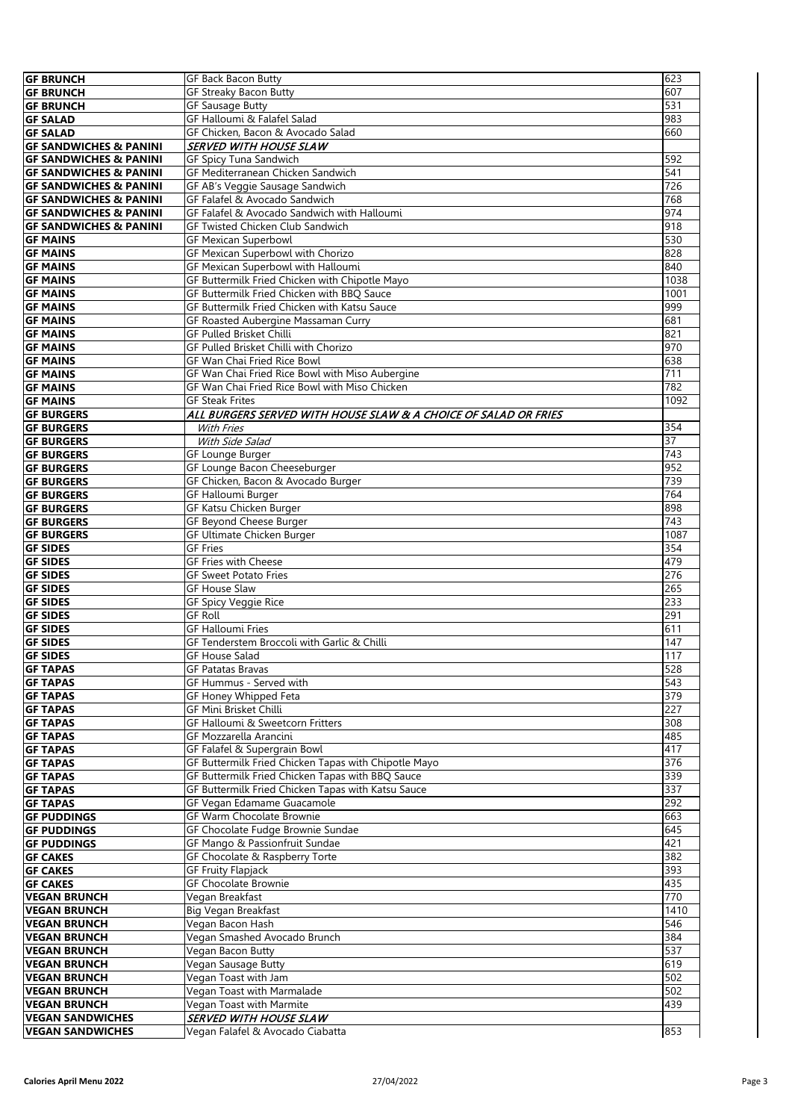| <b>GF BRUNCH</b>                  | <b>GF Back Bacon Butty</b>                                      | 623              |
|-----------------------------------|-----------------------------------------------------------------|------------------|
|                                   |                                                                 |                  |
| <b>GF BRUNCH</b>                  | GF Streaky Bacon Butty                                          | 607              |
| <b>GF BRUNCH</b>                  | <b>GF Sausage Butty</b>                                         | 531              |
| <b>GF SALAD</b>                   | GF Halloumi & Falafel Salad                                     | 983              |
| <b>GF SALAD</b>                   | GF Chicken, Bacon & Avocado Salad                               | 660              |
|                                   |                                                                 |                  |
| <b>GF SANDWICHES &amp; PANINI</b> | <b>SERVED WITH HOUSE SLAW</b>                                   |                  |
| <b>GF SANDWICHES &amp; PANINI</b> | GF Spicy Tuna Sandwich                                          | 592              |
| <b>GF SANDWICHES &amp; PANINI</b> | GF Mediterranean Chicken Sandwich                               | 541              |
| <b>GF SANDWICHES &amp; PANINI</b> | <b>GF AB's Veggie Sausage Sandwich</b>                          | 726              |
|                                   |                                                                 |                  |
| <b>GF SANDWICHES &amp; PANINI</b> | GF Falafel & Avocado Sandwich                                   | 768              |
| <b>GF SANDWICHES &amp; PANINI</b> | GF Falafel & Avocado Sandwich with Halloumi                     | 974              |
| <b>GF SANDWICHES &amp; PANINI</b> | <b>GF Twisted Chicken Club Sandwich</b>                         | 918              |
|                                   |                                                                 |                  |
| <b>GF MAINS</b>                   | <b>GF Mexican Superbowl</b>                                     | 530              |
| <b>GF MAINS</b>                   | GF Mexican Superbowl with Chorizo                               | 828              |
| <b>GF MAINS</b>                   | <b>GF Mexican Superbowl with Halloumi</b>                       | 840              |
|                                   | GF Buttermilk Fried Chicken with Chipotle Mayo                  | 1038             |
| <b>GF MAINS</b>                   |                                                                 |                  |
| <b>GF MAINS</b>                   | GF Buttermilk Fried Chicken with BBQ Sauce                      | 1001             |
| <b>GF MAINS</b>                   | GF Buttermilk Fried Chicken with Katsu Sauce                    | 999              |
| <b>GF MAINS</b>                   | GF Roasted Aubergine Massaman Curry                             | 681              |
|                                   |                                                                 |                  |
| <b>GF MAINS</b>                   | GF Pulled Brisket Chilli                                        | 821              |
| <b>GF MAINS</b>                   | GF Pulled Brisket Chilli with Chorizo                           | 970              |
| <b>GF MAINS</b>                   | GF Wan Chai Fried Rice Bowl                                     | 638              |
|                                   | GF Wan Chai Fried Rice Bowl with Miso Aubergine                 | $\overline{711}$ |
| <b>GF MAINS</b>                   |                                                                 |                  |
| <b>GF MAINS</b>                   | GF Wan Chai Fried Rice Bowl with Miso Chicken                   | 782              |
| <b>GF MAINS</b>                   | <b>GF Steak Frites</b>                                          | 1092             |
| <b>GF BURGERS</b>                 | ALL BURGERS SERVED WITH HOUSE SLAW & A CHOICE OF SALAD OR FRIES |                  |
|                                   |                                                                 |                  |
| <b>GF BURGERS</b>                 | With Fries                                                      | 354              |
| <b>GF BURGERS</b>                 | With Side Salad                                                 | 37               |
| <b>GF BURGERS</b>                 | GF Lounge Burger                                                | $\overline{743}$ |
|                                   | GF Lounge Bacon Cheeseburger                                    | 952              |
| <b>GF BURGERS</b>                 |                                                                 |                  |
| <b>GF BURGERS</b>                 | GF Chicken, Bacon & Avocado Burger                              | 739              |
| <b>GF BURGERS</b>                 | <b>GF Halloumi Burger</b>                                       | 764              |
| <b>GF BURGERS</b>                 | GF Katsu Chicken Burger                                         | 898              |
|                                   |                                                                 |                  |
| <b>GF BURGERS</b>                 | GF Beyond Cheese Burger                                         | 743              |
| <b>GF BURGERS</b>                 | GF Ultimate Chicken Burger                                      | 1087             |
| <b>GF SIDES</b>                   | <b>GF Fries</b>                                                 | 354              |
| <b>GF SIDES</b>                   | GF Fries with Cheese                                            | 479              |
|                                   |                                                                 |                  |
| <b>GF SIDES</b>                   | <b>GF Sweet Potato Fries</b>                                    | 276              |
| <b>GF SIDES</b>                   | <b>GF House Slaw</b>                                            | 265              |
| <b>GF SIDES</b>                   | <b>GF Spicy Veggie Rice</b>                                     | 233              |
|                                   |                                                                 |                  |
| <b>GF SIDES</b>                   | <b>GF Roll</b>                                                  | 291              |
| <b>GF SIDES</b>                   | <b>GF Halloumi Fries</b>                                        | 611              |
| <b>GF SIDES</b>                   | GF Tenderstem Broccoli with Garlic & Chilli                     | 147              |
| <b>GF SIDES</b>                   | <b>GF House Salad</b>                                           | 117              |
|                                   |                                                                 |                  |
| <b>GF TAPAS</b>                   | <b>GF Patatas Bravas</b>                                        | 528              |
| <b>GF TAPAS</b>                   | GF Hummus - Served with                                         | 543              |
| <b>GF TAPAS</b>                   | GF Honey Whipped Feta                                           | 379              |
| <b>GF TAPAS</b>                   | <b>GF Mini Brisket Chilli</b>                                   | 227              |
|                                   |                                                                 |                  |
| <b>GF TAPAS</b>                   | GF Halloumi & Sweetcorn Fritters                                | 308              |
| <b>GF TAPAS</b>                   | GF Mozzarella Arancini                                          | 485              |
| <b>GF TAPAS</b>                   | GF Falafel & Supergrain Bowl                                    | 417              |
|                                   | GF Buttermilk Fried Chicken Tapas with Chipotle Mayo            | 376              |
| <b>GF TAPAS</b>                   |                                                                 |                  |
| <b>GF TAPAS</b>                   | GF Buttermilk Fried Chicken Tapas with BBQ Sauce                | 339              |
| <b>GF TAPAS</b>                   | GF Buttermilk Fried Chicken Tapas with Katsu Sauce              | 337              |
| <b>GF TAPAS</b>                   | GF Vegan Edamame Guacamole                                      | 292              |
| <b>GF PUDDINGS</b>                |                                                                 |                  |
|                                   | GF Warm Chocolate Brownie                                       | 663              |
| <b>GF PUDDINGS</b>                | GF Chocolate Fudge Brownie Sundae                               | 645              |
| <b>GF PUDDINGS</b>                | GF Mango & Passionfruit Sundae                                  | 421              |
| <b>GF CAKES</b>                   | GF Chocolate & Raspberry Torte                                  | 382              |
|                                   | <b>GF Fruity Flapjack</b>                                       | 393              |
| <b>GF CAKES</b>                   |                                                                 |                  |
| <b>GF CAKES</b>                   | GF Chocolate Brownie                                            | 435              |
| <b>VEGAN BRUNCH</b>               | Vegan Breakfast                                                 | 770              |
| <b>VEGAN BRUNCH</b>               | Big Vegan Breakfast                                             | 1410             |
|                                   |                                                                 |                  |
| <b>VEGAN BRUNCH</b>               | Vegan Bacon Hash                                                | 546              |
| <b>VEGAN BRUNCH</b>               | Vegan Smashed Avocado Brunch                                    | 384              |
| <b>VEGAN BRUNCH</b>               | Vegan Bacon Butty                                               | 537              |
| <b>VEGAN BRUNCH</b>               | Vegan Sausage Butty                                             | 619              |
|                                   |                                                                 |                  |
| <b>VEGAN BRUNCH</b>               | Vegan Toast with Jam                                            | 502              |
| <b>VEGAN BRUNCH</b>               | Vegan Toast with Marmalade                                      | 502              |
| <b>VEGAN BRUNCH</b>               | Vegan Toast with Marmite                                        | 439              |
|                                   |                                                                 |                  |
| <b>VEGAN SANDWICHES</b>           | <b>SERVED WITH HOUSE SLAW</b>                                   |                  |
| <b>VEGAN SANDWICHES</b>           | Vegan Falafel & Avocado Ciabatta                                | 853              |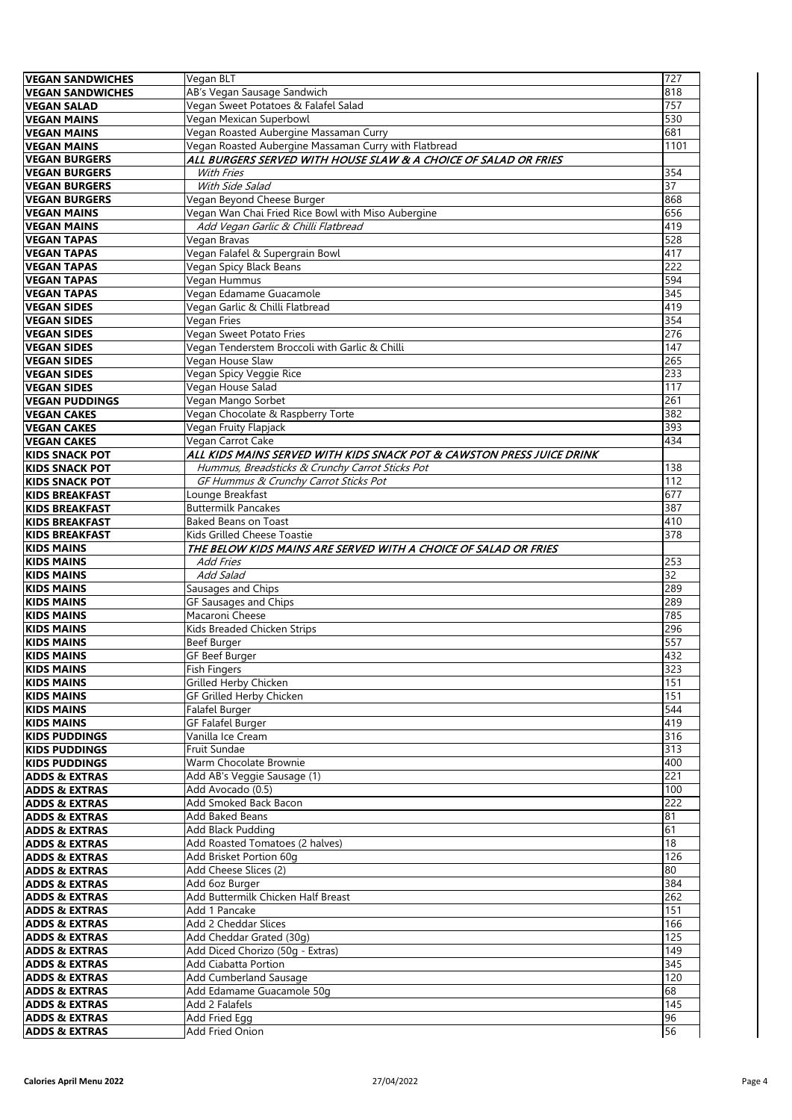| <b>VEGAN SANDWICHES</b>                              | Vegan BLT                                                             | 727              |
|------------------------------------------------------|-----------------------------------------------------------------------|------------------|
|                                                      |                                                                       |                  |
| <b>VEGAN SANDWICHES</b>                              | AB's Vegan Sausage Sandwich                                           | 818              |
| <b>VEGAN SALAD</b>                                   | Vegan Sweet Potatoes & Falafel Salad                                  | 757              |
| <b>VEGAN MAINS</b>                                   | Vegan Mexican Superbowl                                               | 530              |
|                                                      |                                                                       |                  |
| <b>VEGAN MAINS</b>                                   | Vegan Roasted Aubergine Massaman Curry                                | 681              |
| <b>VEGAN MAINS</b>                                   | Vegan Roasted Aubergine Massaman Curry with Flatbread                 | 1101             |
|                                                      |                                                                       |                  |
| <b>VEGAN BURGERS</b>                                 | ALL BURGERS SERVED WITH HOUSE SLAW & A CHOICE OF SALAD OR FRIES       |                  |
| <b>VEGAN BURGERS</b>                                 | With Fries                                                            | 354              |
| <b>VEGAN BURGERS</b>                                 | With Side Salad                                                       | 37               |
|                                                      |                                                                       |                  |
| <b>VEGAN BURGERS</b>                                 | Vegan Beyond Cheese Burger                                            | 868              |
| <b>VEGAN MAINS</b>                                   | Vegan Wan Chai Fried Rice Bowl with Miso Aubergine                    | 656              |
|                                                      |                                                                       |                  |
| <b>VEGAN MAINS</b>                                   | Add Vegan Garlic & Chilli Flatbread                                   | 419              |
| <b>VEGAN TAPAS</b>                                   | Vegan Bravas                                                          | 528              |
| <b>VEGAN TAPAS</b>                                   | Vegan Falafel & Supergrain Bowl                                       | 417              |
|                                                      |                                                                       |                  |
| <b>VEGAN TAPAS</b>                                   | Vegan Spicy Black Beans                                               | $\overline{222}$ |
| <b>VEGAN TAPAS</b>                                   | Vegan Hummus                                                          | 594              |
|                                                      |                                                                       |                  |
| <b>VEGAN TAPAS</b>                                   | Vegan Edamame Guacamole                                               | 345              |
| <b>VEGAN SIDES</b>                                   | Vegan Garlic & Chilli Flatbread                                       | 419              |
| <b>VEGAN SIDES</b>                                   | Vegan Fries                                                           | 354              |
|                                                      |                                                                       |                  |
| <b>VEGAN SIDES</b>                                   | Vegan Sweet Potato Fries                                              | 276              |
| <b>VEGAN SIDES</b>                                   | Vegan Tenderstem Broccoli with Garlic & Chilli                        | 147              |
| <b>VEGAN SIDES</b>                                   | Vegan House Slaw                                                      | 265              |
|                                                      |                                                                       |                  |
| <b>VEGAN SIDES</b>                                   | Vegan Spicy Veggie Rice                                               | 233              |
| <b>VEGAN SIDES</b>                                   | Vegan House Salad                                                     | 117              |
|                                                      |                                                                       |                  |
| <b>VEGAN PUDDINGS</b>                                | Vegan Mango Sorbet                                                    | 261              |
| <b>VEGAN CAKES</b>                                   | Vegan Chocolate & Raspberry Torte                                     | 382              |
| <b>VEGAN CAKES</b>                                   |                                                                       | 393              |
|                                                      | Vegan Fruity Flapjack                                                 |                  |
| <b>VEGAN CAKES</b>                                   | Vegan Carrot Cake                                                     | 434              |
| <b>KIDS SNACK POT</b>                                | ALL KIDS MAINS SERVED WITH KIDS SNACK POT & CAWSTON PRESS JUICE DRINK |                  |
|                                                      |                                                                       |                  |
| <b>KIDS SNACK POT</b>                                | Hummus, Breadsticks & Crunchy Carrot Sticks Pot                       | 138              |
| <b>KIDS SNACK POT</b>                                | GF Hummus & Crunchy Carrot Sticks Pot                                 | 112              |
|                                                      | Lounge Breakfast                                                      | 677              |
| <b>KIDS BREAKFAST</b>                                |                                                                       |                  |
| <b>KIDS BREAKFAST</b>                                | <b>Buttermilk Pancakes</b>                                            | 387              |
| <b>KIDS BREAKFAST</b>                                | <b>Baked Beans on Toast</b>                                           | 410              |
|                                                      |                                                                       |                  |
| <b>KIDS BREAKFAST</b>                                | Kids Grilled Cheese Toastie                                           | 378              |
|                                                      |                                                                       |                  |
|                                                      |                                                                       |                  |
| <b>KIDS MAINS</b>                                    | THE BELOW KIDS MAINS ARE SERVED WITH A CHOICE OF SALAD OR FRIES       |                  |
| <b>KIDS MAINS</b>                                    | <b>Add Fries</b>                                                      | 253              |
| <b>KIDS MAINS</b>                                    | Add Salad                                                             | 32               |
|                                                      |                                                                       |                  |
| <b>KIDS MAINS</b>                                    | Sausages and Chips                                                    | 289              |
| <b>KIDS MAINS</b>                                    | GF Sausages and Chips                                                 | 289              |
| <b>KIDS MAINS</b>                                    | Macaroni Cheese                                                       | 785              |
|                                                      |                                                                       |                  |
| <b>KIDS MAINS</b>                                    | Kids Breaded Chicken Strips                                           | 296              |
| <b>KIDS MAINS</b>                                    | Beef Burger                                                           | 557              |
|                                                      |                                                                       |                  |
| <b>KIDS MAINS</b>                                    | GF Beef Burger                                                        | 432              |
| <b>KIDS MAINS</b>                                    | <b>Fish Fingers</b>                                                   | 323              |
| <b>KIDS MAINS</b>                                    | Grilled Herby Chicken                                                 | 151              |
|                                                      |                                                                       | 151              |
| <b>KIDS MAINS</b>                                    | GF Grilled Herby Chicken                                              |                  |
| <b>KIDS MAINS</b>                                    | Falafel Burger                                                        | 544              |
| <b>KIDS MAINS</b>                                    | GF Falafel Burger                                                     | 419              |
|                                                      |                                                                       |                  |
| <b>KIDS PUDDINGS</b>                                 | Vanilla Ice Cream                                                     | 316              |
| <b>KIDS PUDDINGS</b>                                 | Fruit Sundae                                                          | 313              |
| <b>KIDS PUDDINGS</b>                                 | Warm Chocolate Brownie                                                | 400              |
|                                                      |                                                                       |                  |
| <b>ADDS &amp; EXTRAS</b>                             | Add AB's Veggie Sausage (1)                                           | 221              |
| <b>ADDS &amp; EXTRAS</b>                             | Add Avocado (0.5)                                                     | 100              |
|                                                      | Add Smoked Back Bacon                                                 | 222              |
| <b>ADDS &amp; EXTRAS</b>                             |                                                                       |                  |
| <b>ADDS &amp; EXTRAS</b>                             | Add Baked Beans                                                       | 81               |
| <b>ADDS &amp; EXTRAS</b>                             | Add Black Pudding                                                     | 61               |
|                                                      |                                                                       |                  |
| <b>ADDS &amp; EXTRAS</b>                             | Add Roasted Tomatoes (2 halves)                                       | $\overline{18}$  |
| <b>ADDS &amp; EXTRAS</b>                             | Add Brisket Portion 60g                                               | 126              |
| <b>ADDS &amp; EXTRAS</b>                             | Add Cheese Slices (2)                                                 | 80               |
|                                                      |                                                                       |                  |
| <b>ADDS &amp; EXTRAS</b>                             | Add 6oz Burger                                                        | 384              |
| <b>ADDS &amp; EXTRAS</b>                             | Add Buttermilk Chicken Half Breast                                    | 262              |
|                                                      |                                                                       |                  |
| <b>ADDS &amp; EXTRAS</b>                             | Add 1 Pancake                                                         | 151              |
| <b>ADDS &amp; EXTRAS</b>                             | Add 2 Cheddar Slices                                                  | 166              |
| <b>ADDS &amp; EXTRAS</b>                             | Add Cheddar Grated (30q)                                              | 125              |
|                                                      |                                                                       |                  |
|                                                      | Add Diced Chorizo (50g - Extras)                                      | 149              |
| <b>ADDS &amp; EXTRAS</b><br><b>ADDS &amp; EXTRAS</b> | Add Ciabatta Portion                                                  | $\overline{345}$ |
|                                                      |                                                                       |                  |
| <b>ADDS &amp; EXTRAS</b>                             | Add Cumberland Sausage                                                | 120              |
| <b>ADDS &amp; EXTRAS</b>                             | Add Edamame Guacamole 50g                                             | 68               |
|                                                      | Add 2 Falafels                                                        | 145              |
| <b>ADDS &amp; EXTRAS</b>                             |                                                                       |                  |
| <b>ADDS &amp; EXTRAS</b><br><b>ADDS &amp; EXTRAS</b> | Add Fried Egg<br>Add Fried Onion                                      | 96<br>56         |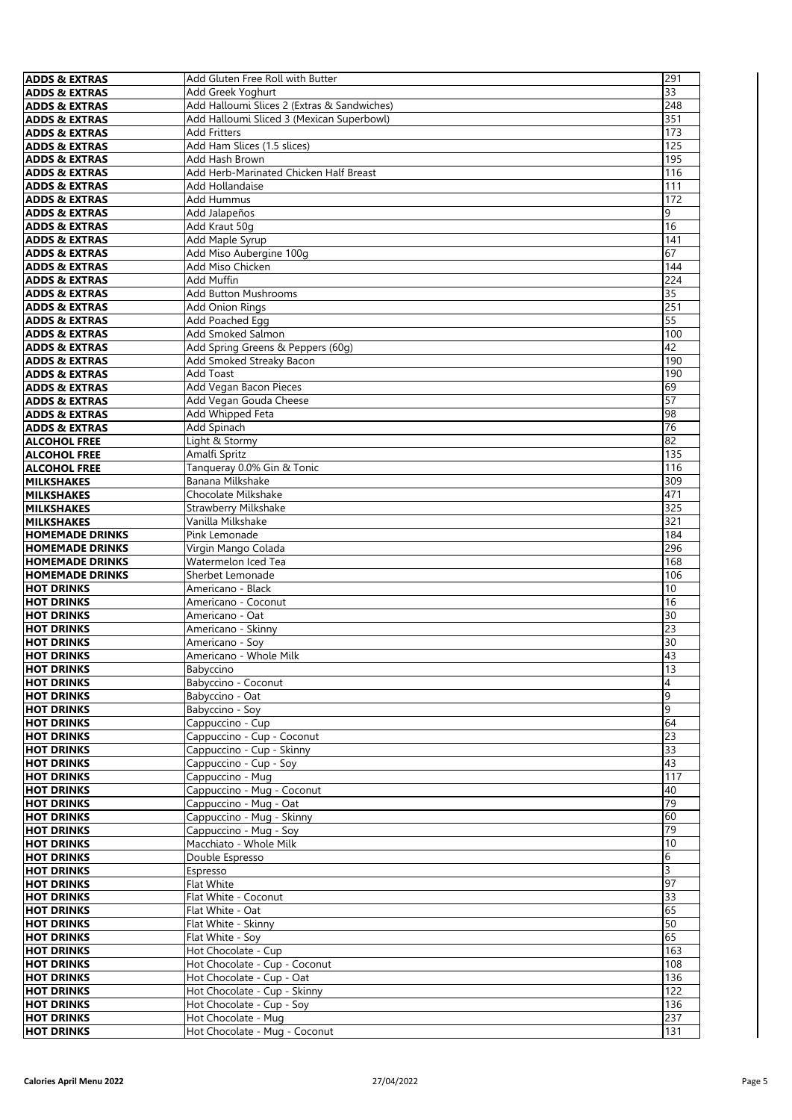| <b>ADDS &amp; EXTRAS</b>                             | Add Gluten Free Roll with Butter                 | 291                 |
|------------------------------------------------------|--------------------------------------------------|---------------------|
| <b>ADDS &amp; EXTRAS</b>                             | Add Greek Yoghurt                                | 33                  |
| <b>ADDS &amp; EXTRAS</b>                             | Add Halloumi Slices 2 (Extras & Sandwiches)      | 248                 |
| <b>ADDS &amp; EXTRAS</b>                             | Add Halloumi Sliced 3 (Mexican Superbowl)        | 351                 |
| <b>ADDS &amp; EXTRAS</b>                             | <b>Add Fritters</b>                              | 173                 |
| <b>ADDS &amp; EXTRAS</b>                             | Add Ham Slices (1.5 slices)                      | 125                 |
| <b>ADDS &amp; EXTRAS</b>                             | Add Hash Brown                                   | 195                 |
| <b>ADDS &amp; EXTRAS</b>                             | Add Herb-Marinated Chicken Half Breast           | 116                 |
| <b>ADDS &amp; EXTRAS</b>                             | Add Hollandaise                                  | 111                 |
| <b>ADDS &amp; EXTRAS</b>                             | Add Hummus                                       | 172                 |
| <b>ADDS &amp; EXTRAS</b>                             | Add Jalapeños                                    | 9                   |
| <b>ADDS &amp; EXTRAS</b>                             | Add Kraut 50g                                    | 16                  |
| <b>ADDS &amp; EXTRAS</b>                             | Add Maple Syrup                                  | 141                 |
| <b>ADDS &amp; EXTRAS</b>                             | Add Miso Aubergine 100g                          | 67                  |
| <b>ADDS &amp; EXTRAS</b>                             | Add Miso Chicken                                 | 144                 |
| <b>ADDS &amp; EXTRAS</b>                             | Add Muffin                                       | 224                 |
| <b>ADDS &amp; EXTRAS</b>                             | <b>Add Button Mushrooms</b>                      | 35                  |
| <b>ADDS &amp; EXTRAS</b>                             | <b>Add Onion Rings</b>                           | 251                 |
| <b>ADDS &amp; EXTRAS</b>                             | <b>Add Poached Egg</b>                           | 55                  |
| <b>ADDS &amp; EXTRAS</b>                             | <b>Add Smoked Salmon</b>                         | 100                 |
| <b>ADDS &amp; EXTRAS</b>                             | Add Spring Greens & Peppers (60g)                | 42                  |
| <b>ADDS &amp; EXTRAS</b>                             | Add Smoked Streaky Bacon                         | 190                 |
| <b>ADDS &amp; EXTRAS</b>                             | Add Toast                                        | 190                 |
| <b>ADDS &amp; EXTRAS</b>                             | Add Vegan Bacon Pieces<br>Add Vegan Gouda Cheese | 69<br>57            |
| <b>ADDS &amp; EXTRAS</b>                             | Add Whipped Feta                                 | 98                  |
| <b>ADDS &amp; EXTRAS</b><br><b>ADDS &amp; EXTRAS</b> | Add Spinach                                      | 76                  |
| <b>ALCOHOL FREE</b>                                  | Light & Stormy                                   | 82                  |
| <b>ALCOHOL FREE</b>                                  | Amalfi Spritz                                    | 135                 |
| <b>ALCOHOL FREE</b>                                  | Tanqueray 0.0% Gin & Tonic                       | 116                 |
| <b>MILKSHAKES</b>                                    | Banana Milkshake                                 | 309                 |
| <b>MILKSHAKES</b>                                    | Chocolate Milkshake                              | 471                 |
| <b>MILKSHAKES</b>                                    | Strawberry Milkshake                             | 325                 |
| <b>MILKSHAKES</b>                                    | Vanilla Milkshake                                | 321                 |
| <b>HOMEMADE DRINKS</b>                               | Pink Lemonade                                    | 184                 |
| <b>HOMEMADE DRINKS</b>                               | Virgin Mango Colada                              | 296                 |
| <b>HOMEMADE DRINKS</b>                               | Watermelon Iced Tea                              | 168                 |
| <b>HOMEMADE DRINKS</b>                               | Sherbet Lemonade                                 | 106                 |
| <b>HOT DRINKS</b>                                    | Americano - Black                                | 10                  |
| <b>HOT DRINKS</b>                                    | Americano - Coconut                              | 16                  |
| <b>HOT DRINKS</b>                                    | Americano - Oat                                  | 30                  |
| <b>HOT DRINKS</b>                                    | Americano - Skinny                               | 23                  |
| <b>HOT DRINKS</b>                                    | Americano - Soy                                  | 30                  |
| <b>HOT DRINKS</b>                                    | Americano - Whole Milk                           | 43                  |
| <b>HOT DRINKS</b>                                    | Babyccino                                        | 13                  |
| <b>HOT DRINKS</b>                                    | Babyccino - Coconut                              | 4                   |
| <b>HOT DRINKS</b>                                    | Babyccino - Oat                                  | 9                   |
| <b>HOT DRINKS</b>                                    | Babyccino - Soy                                  | 9                   |
| <b>HOT DRINKS</b>                                    | Cappuccino - Cup                                 | 64                  |
| <b>HOT DRINKS</b>                                    | Cappuccino - Cup - Coconut                       | $\overline{23}$     |
| <b>HOT DRINKS</b>                                    | Cappuccino - Cup - Skinny                        | $\overline{33}$     |
| <b>HOT DRINKS</b>                                    | Cappuccino - Cup - Soy                           | 43                  |
| <b>HOT DRINKS</b>                                    | Cappuccino - Mug                                 | 117                 |
| <b>HOT DRINKS</b>                                    | Cappuccino - Mug - Coconut                       | 40                  |
| <b>HOT DRINKS</b>                                    | Cappuccino - Mug - Oat                           | 79                  |
| <b>HOT DRINKS</b>                                    | Cappuccino - Mug - Skinny                        | 60<br>79            |
| <b>HOT DRINKS</b>                                    | Cappuccino - Mug - Soy                           | 10                  |
| <b>HOT DRINKS</b><br><b>HOT DRINKS</b>               | Macchiato - Whole Milk                           |                     |
|                                                      | Double Espresso                                  | 6<br>$\overline{3}$ |
| <b>HOT DRINKS</b><br><b>HOT DRINKS</b>               | Espresso                                         | 97                  |
| <b>HOT DRINKS</b>                                    | Flat White<br>Flat White - Coconut               | 33                  |
| <b>HOT DRINKS</b>                                    | Flat White - Oat                                 | 65                  |
| <b>HOT DRINKS</b>                                    | Flat White - Skinny                              | 50                  |
| <b>HOT DRINKS</b>                                    | Flat White - Soy                                 | 65                  |
| <b>HOT DRINKS</b>                                    | Hot Chocolate - Cup                              | 163                 |
| <b>HOT DRINKS</b>                                    | Hot Chocolate - Cup - Coconut                    | 108                 |
| <b>HOT DRINKS</b>                                    | Hot Chocolate - Cup - Oat                        | 136                 |
| <b>HOT DRINKS</b>                                    | Hot Chocolate - Cup - Skinny                     | 122                 |
| <b>HOT DRINKS</b>                                    | Hot Chocolate - Cup - Soy                        | 136                 |
| <b>HOT DRINKS</b>                                    | Hot Chocolate - Mug                              | 237                 |
| <b>HOT DRINKS</b>                                    | Hot Chocolate - Mug - Coconut                    | 131                 |
|                                                      |                                                  |                     |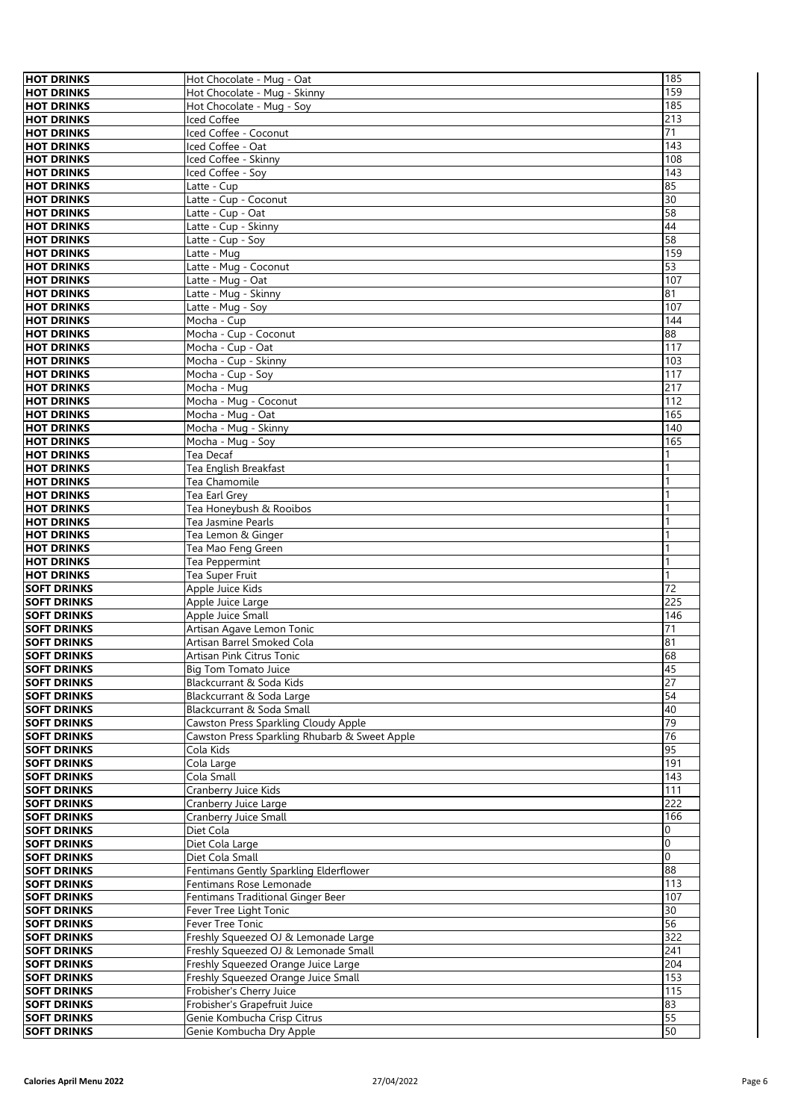| <b>HOT DRINKS</b>                        | Hot Chocolate - Mug - Oat                     | 185      |
|------------------------------------------|-----------------------------------------------|----------|
| <b>HOT DRINKS</b>                        | Hot Chocolate - Mug - Skinny                  | 159      |
| <b>HOT DRINKS</b>                        | Hot Chocolate - Mug - Soy                     | 185      |
|                                          |                                               |          |
| <b>HOT DRINKS</b>                        | Iced Coffee                                   | 213      |
| <b>HOT DRINKS</b>                        | Iced Coffee - Coconut                         | 71       |
| <b>HOT DRINKS</b>                        | Iced Coffee - Oat                             | 143      |
| <b>HOT DRINKS</b>                        | Iced Coffee - Skinny                          | 108      |
| <b>HOT DRINKS</b>                        | Iced Coffee - Soy                             | 143      |
| <b>HOT DRINKS</b>                        | Latte - Cup                                   | 85       |
| <b>HOT DRINKS</b>                        | Latte - Cup - Coconut                         | 30       |
| <b>HOT DRINKS</b>                        | Latte - Cup - Oat                             | 58       |
| <b>HOT DRINKS</b>                        | Latte - Cup - Skinny                          | 44       |
|                                          |                                               |          |
| <b>HOT DRINKS</b>                        | Latte - Cup - Soy                             | 58       |
| <b>HOT DRINKS</b>                        | Latte - Mug                                   | 159      |
| <b>HOT DRINKS</b>                        | Latte - Mug - Coconut                         | 53       |
| <b>HOT DRINKS</b>                        | Latte - Mug - Oat                             | 107      |
| <b>HOT DRINKS</b>                        | Latte - Mug - Skinny                          | 81       |
| <b>HOT DRINKS</b>                        | Latte - Mug - Soy                             | 107      |
| <b>HOT DRINKS</b>                        | Mocha - Cup                                   | 144      |
| <b>HOT DRINKS</b>                        | Mocha - Cup - Coconut                         | 88       |
| <b>HOT DRINKS</b>                        | Mocha - Cup - Oat                             | 117      |
| <b>HOT DRINKS</b>                        | Mocha - Cup - Skinny                          | 103      |
| <b>HOT DRINKS</b>                        | Mocha - Cup - Soy                             | 117      |
| <b>HOT DRINKS</b>                        |                                               | 217      |
|                                          | Mocha - Mug                                   |          |
| <b>HOT DRINKS</b>                        | Mocha - Mug - Coconut                         | 112      |
| <b>HOT DRINKS</b>                        | Mocha - Mug - Oat                             | 165      |
| <b>HOT DRINKS</b>                        | Mocha - Mug - Skinny                          | 140      |
| <b>HOT DRINKS</b>                        | Mocha - Mug - Soy                             | 165      |
| <b>HOT DRINKS</b>                        | Tea Decaf                                     | 1        |
| <b>HOT DRINKS</b>                        | Tea English Breakfast                         |          |
| <b>HOT DRINKS</b>                        | Tea Chamomile                                 |          |
| <b>HOT DRINKS</b>                        | Tea Earl Grey                                 |          |
| <b>HOT DRINKS</b>                        | Tea Honeybush & Rooibos                       |          |
| <b>HOT DRINKS</b>                        | Tea Jasmine Pearls                            |          |
| <b>HOT DRINKS</b>                        | Tea Lemon & Ginger                            |          |
| <b>HOT DRINKS</b>                        | Tea Mao Feng Green                            |          |
| <b>HOT DRINKS</b>                        | Tea Peppermint                                | 1        |
| <b>HOT DRINKS</b>                        | Tea Super Fruit                               | 1        |
| <b>SOFT DRINKS</b>                       | Apple Juice Kids                              | 72       |
| <b>SOFT DRINKS</b>                       | Apple Juice Large                             | 225      |
|                                          |                                               | 146      |
| <b>SOFT DRINKS</b><br><b>SOFT DRINKS</b> | Apple Juice Small                             | 71       |
|                                          | Artisan Agave Lemon Tonic                     | 81       |
| <b>SOFT DRINKS</b>                       | Artisan Barrel Smoked Cola                    |          |
| <b>SOFT DRINKS</b>                       | Artisan Pink Citrus Tonic                     | 68       |
| <b>SOFT DRINKS</b>                       | Big Tom Tomato Juice                          | 45       |
| <b>SOFT DRINKS</b>                       | Blackcurrant & Soda Kids                      | 27       |
| <b>SOFT DRINKS</b>                       | Blackcurrant & Soda Large                     | 54       |
| <b>SOFT DRINKS</b>                       | Blackcurrant & Soda Small                     | 40       |
| <b>SOFT DRINKS</b>                       | Cawston Press Sparkling Cloudy Apple          | 79       |
| <b>SOFT DRINKS</b>                       | Cawston Press Sparkling Rhubarb & Sweet Apple | 76       |
| <b>SOFT DRINKS</b>                       | Cola Kids                                     | 95       |
| <b>SOFT DRINKS</b>                       | Cola Large                                    | 191      |
| <b>SOFT DRINKS</b>                       | Cola Small                                    | 143      |
| <b>SOFT DRINKS</b>                       | Cranberry Juice Kids                          | 111      |
| <b>SOFT DRINKS</b>                       | Cranberry Juice Large                         | 222      |
| <b>SOFT DRINKS</b>                       | Cranberry Juice Small                         | 166      |
| <b>SOFT DRINKS</b>                       | Diet Cola                                     | 0        |
| <b>SOFT DRINKS</b>                       | Diet Cola Large                               | $\Omega$ |
| <b>SOFT DRINKS</b>                       | Diet Cola Small                               | $\Omega$ |
|                                          | Fentimans Gently Sparkling Elderflower        | 88       |
| <b>SOFT DRINKS</b>                       |                                               |          |
| <b>SOFT DRINKS</b>                       | Fentimans Rose Lemonade                       | 113      |
| <b>SOFT DRINKS</b>                       | Fentimans Traditional Ginger Beer             | 107      |
| <b>SOFT DRINKS</b>                       | Fever Tree Light Tonic                        | 30       |
| <b>SOFT DRINKS</b>                       | Fever Tree Tonic                              | 56       |
| <b>SOFT DRINKS</b>                       | Freshly Squeezed OJ & Lemonade Large          | 322      |
| <b>SOFT DRINKS</b>                       | Freshly Squeezed OJ & Lemonade Small          | 241      |
| <b>SOFT DRINKS</b>                       | Freshly Squeezed Orange Juice Large           | 204      |
| <b>SOFT DRINKS</b>                       | Freshly Squeezed Orange Juice Small           | 153      |
| <b>SOFT DRINKS</b>                       | Frobisher's Cherry Juice                      | 115      |
| <b>SOFT DRINKS</b>                       | Frobisher's Grapefruit Juice                  | 83       |
| <b>SOFT DRINKS</b>                       | Genie Kombucha Crisp Citrus                   | 55       |
| <b>SOFT DRINKS</b>                       | Genie Kombucha Dry Apple                      | 50       |
|                                          |                                               |          |